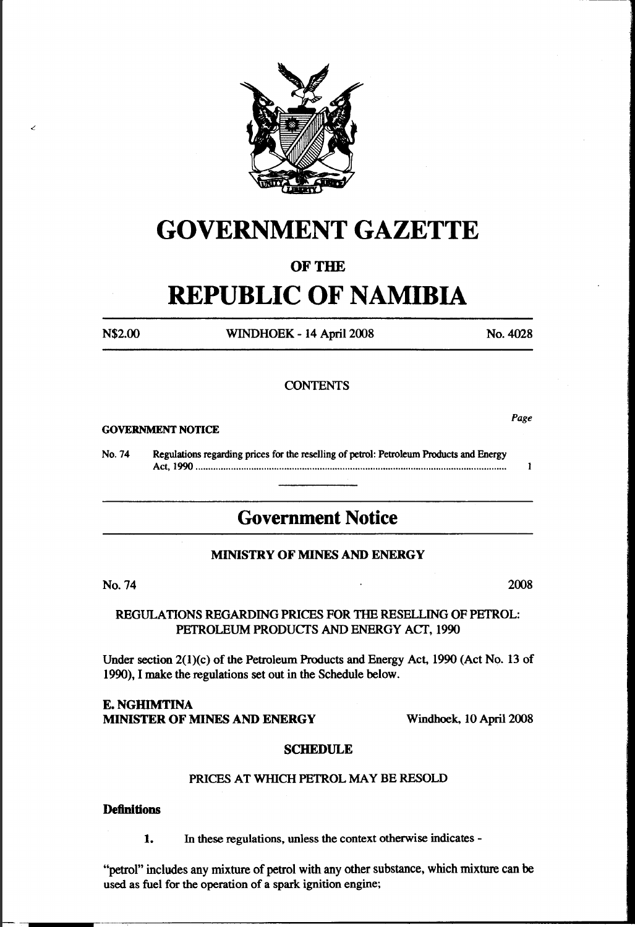

# GOVERNMENT GAZETTE

## OF THE

# REPUBLIC OF NAMIBIA

<'

N\$2.00 WINDHOEK- 14 April 2008 No.4028

Page

#### **CONTENTS**

#### GOVERNMENT NOTICE

No. 74 Regulations regarding prices for the reselling of petrol: Petroleum Products and Energy Act, 1990 .......................................................................................................................... .  $\mathbf{1}$ 

# Government Notice

#### MINISTRY OF MINES AND ENERGY

No. 74 2008

REGULATIONS REGARDING PRICES FOR THE RESELLING OF PETROL: PETROLEUM PRODUCTS AND ENERGY ACf, 1990

Under section 2(l)(c) of the Petroleum Products and Energy Act, 1990 (Act No. 13 of 1990), I make the regulations set out in the Schedule below.

#### **E. NGHIMTINA** MINISTER OF MINES AND ENERGY Windhoek, 10 April2008

#### **SCHEDULE**

#### PRICES AT WHICH PETROL MAY BE RESOLD

#### **Definitions**

1. In these regulations, unless the context otherwise indicates-

"petrol" includes any mixture of petrol with any other substance, which mixture can be used as fuel for the operation of a spark ignition engine;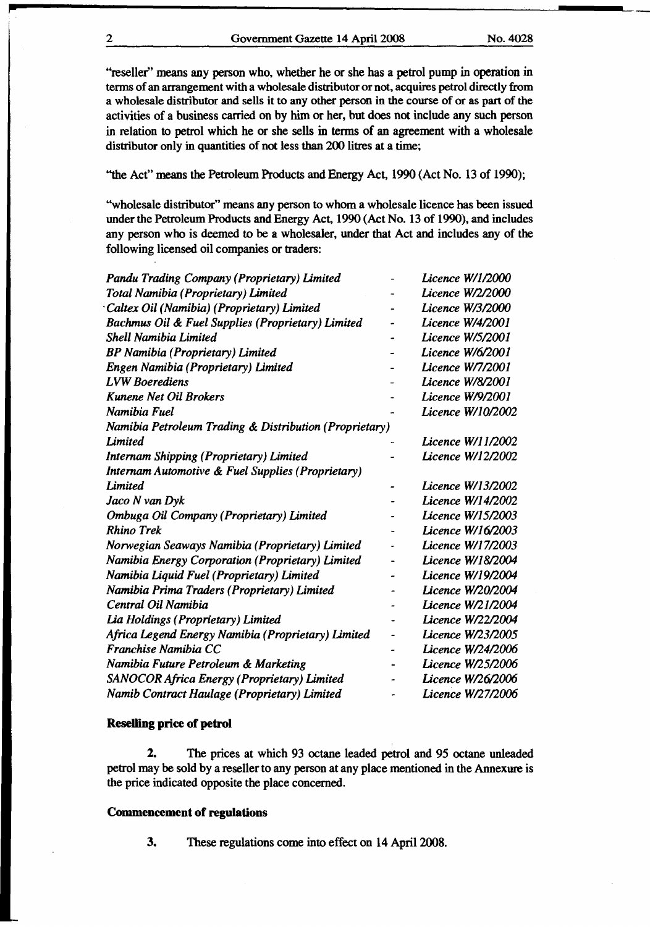"reseller" means any person who, whether he or she has a petrol pump in operation in terms of an arrangement with a wholesale distributor or not, acquires petrol directly from a wholesale distributor and sells it to any other person in the course of or as part of the activities of a business carried on by him or her, but does not include any such person in relation to petrol which he or she sells in terms of an agreement with a wholesale distributor only in quantities of not less than 200 litres at a time;

''the Act" means the Petroleum Products and Energy Act, 1990 (Act No. 13 of 1990);

"wholesale distributor" means any person to whom a wholesale licence has been issued under the Petroleum Products and Energy Act, 1990 (Act No. 13 of 1990), and includes any person who is deemed to be a wholesaler, under that Act and includes any of the following licensed oil companies or traders:

| Pandu Trading Company (Proprietary) Limited            |   | Licence W/1/2000  |
|--------------------------------------------------------|---|-------------------|
| Total Namibia (Proprietary) Limited                    |   | Licence W/2/2000  |
| Caltex Oil (Namibia) (Proprietary) Limited             |   | Licence W/3/2000  |
| Bachmus Oil & Fuel Supplies (Proprietary) Limited      |   | Licence W/4/2001  |
| <b>Shell Namibia Limited</b>                           |   | Licence W/5/2001  |
| <b>BP Namibia (Proprietary) Limited</b>                |   | Licence W/6/2001  |
| Engen Namibia (Proprietary) Limited                    |   | Licence W/7/2001  |
| <b>LVW Boerediens</b>                                  |   | Licence W/8/2001  |
| <b>Kunene Net Oil Brokers</b>                          |   | Licence W/9/2001  |
| Namibia Fuel                                           |   | Licence W/10/2002 |
| Namibia Petroleum Trading & Distribution (Proprietary) |   |                   |
| <b>Limited</b>                                         |   | Licence W/11/2002 |
| Internam Shipping (Proprietary) Limited                |   | Licence W/12/2002 |
| Internam Automotive & Fuel Supplies (Proprietary)      |   |                   |
| <b>Limited</b>                                         |   | Licence W/13/2002 |
| Jaco N van Dyk                                         |   | Licence W/14/2002 |
| Ombuga Oil Company (Proprietary) Limited               |   | Licence W/15/2003 |
| <b>Rhino Trek</b>                                      |   | Licence W/16/2003 |
| Norwegian Seaways Namibia (Proprietary) Limited        | ٠ | Licence W/17/2003 |
| Namibia Energy Corporation (Proprietary) Limited       |   | Licence W/18/2004 |
| Namibia Liquid Fuel (Proprietary) Limited              |   | Licence W/19/2004 |
| Namibia Prima Traders (Proprietary) Limited            |   | Licence W/20/2004 |
| Central Oil Namibia                                    |   | Licence W/21/2004 |
| Lia Holdings (Proprietary) Limited                     |   | Licence W/22/2004 |
| Africa Legend Energy Namibia (Proprietary) Limited     |   | Licence W/23/2005 |
| Franchise Namibia CC                                   |   | Licence W/24/2006 |
| Namibia Future Petroleum & Marketing                   |   | Licence W/25/2006 |
| SANOCOR Africa Energy (Proprietary) Limited            |   | Licence W/26/2006 |
| Namib Contract Haulage (Proprietary) Limited           |   | Licence W/27/2006 |
|                                                        |   |                   |

#### Reselling price of petrol

2. The prices at which 93 octane leaded petrol and 95 octane unleaded petrol may be sold by a reseller to any person at any place mentioned in the Annexure is the price indicated opposite the place concerned.

#### Commencement of regulations

3. These regulations come into effect on 14 April 2008.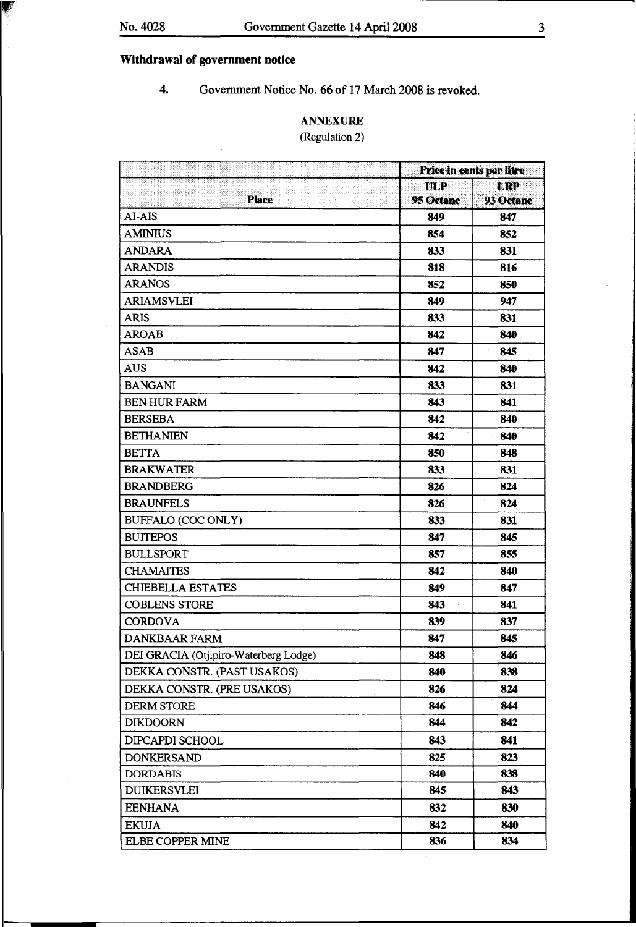## Withdrawal of government notice

4. Government Notice No. 66 of 17 March 2008 is revoked.

### ANNEXURE

### (Regulation 2)

|                                       | Price in cents per litre |            |  |
|---------------------------------------|--------------------------|------------|--|
|                                       | ULP                      | <b>LRP</b> |  |
| <b>Place</b>                          | 95 Octane                | 93 Octane  |  |
| AI-AIS                                | 849                      | 847        |  |
| <b>AMINIUS</b>                        | 854                      | 852        |  |
| <b>ANDARA</b>                         | 833                      | 831        |  |
| <b>ARANDIS</b>                        | 818                      | 816        |  |
| <b>ARANOS</b>                         | 852                      | 850        |  |
| <b>ARIAMSVLEI</b>                     | 849                      | 947        |  |
| <b>ARIS</b>                           | 833                      | 831        |  |
| <b>AROAB</b>                          | 842                      | 840        |  |
| <b>ASAB</b>                           | 847                      | 845        |  |
| <b>AUS</b>                            | 842                      | 840        |  |
| <b>BANGANI</b>                        | 833                      | 831        |  |
| <b>BEN HUR FARM</b>                   | 843                      | 841        |  |
| <b>BERSEBA</b>                        | 842                      | 840        |  |
| <b>BETHANIEN</b>                      | 842                      | 840        |  |
| <b>BETTA</b>                          | 850                      | 848        |  |
| <b>BRAKWATER</b>                      | 833                      | 831        |  |
| <b>BRANDBERG</b>                      | 826                      | 824        |  |
| <b>BRAUNFELS</b>                      | 826                      | 824        |  |
| BUFFALO (COC ONLY)                    | 833                      | 831        |  |
| <b>BUITEPOS</b>                       | 847                      | 845        |  |
| <b>BULLSPORT</b>                      | 857                      | 855        |  |
| <b>CHAMAITES</b>                      | 842                      | 840        |  |
| <b>CHIEBELLA ESTATES</b>              | 849                      | 847        |  |
| <b>COBLENS STORE</b>                  | 843                      | 841        |  |
| <b>CORDOVA</b>                        | 839                      | 837        |  |
| <b>DANKBAAR FARM</b>                  | 847                      | 845        |  |
| DEI GRACIA (Otjipiro-Waterberg Lodge) | 848                      | 846        |  |
| DEKKA CONSTR. (PAST USAKOS)           | 840                      | 838        |  |
| DEKKA CONSTR. (PRE USAKOS)            | 826                      | 824        |  |
| <b>DERM STORE</b>                     | 846                      | 844        |  |
| <b>DIKDOORN</b>                       | 844                      | 842        |  |
| DIPCAPDI SCHOOL                       | 843                      | 841        |  |
| <b>DONKERSAND</b>                     | 825                      | 823        |  |
| <b>DORDABIS</b>                       | 840                      | 838        |  |
| <b>DUIKERSVLEI</b>                    | 845                      | 843        |  |
| <b>EENHANA</b>                        | 832                      | 830        |  |
| <b>EKUJA</b>                          | 842                      | 840        |  |
| ELBE COPPER MINE                      | 836                      | 834        |  |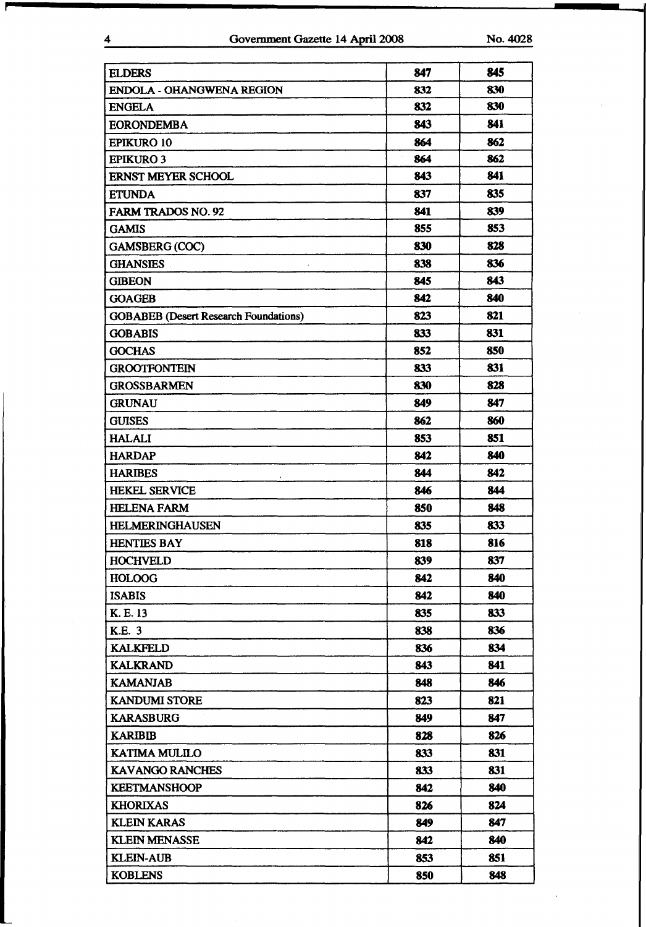| <b>ELDERS</b>                                | 847 | 845 |
|----------------------------------------------|-----|-----|
| <b>ENDOLA - OHANGWENA REGION</b>             | 832 | 830 |
| <b>ENGELA</b>                                | 832 | 830 |
| <b>EORONDEMBA</b>                            | 843 | 841 |
| <b>EPIKURO 10</b>                            | 864 | 862 |
| <b>EPIKURO 3</b>                             | 864 | 862 |
| <b>ERNST MEYER SCHOOL</b>                    | 843 | 841 |
| <b>ETUNDA</b>                                | 837 | 835 |
| <b>FARM TRADOS NO. 92</b>                    | 841 | 839 |
| <b>GAMIS</b>                                 | 855 | 853 |
| <b>GAMSBERG (COC)</b>                        | 830 | 828 |
| <b>GHANSIES</b>                              | 838 | 836 |
| <b>GIBEON</b>                                | 845 | 843 |
| <b>GOAGEB</b>                                | 842 | 840 |
| <b>GOBABEB</b> (Desert Research Foundations) | 823 | 821 |
| <b>GOBABIS</b>                               | 833 | 831 |
| <b>GOCHAS</b>                                | 852 | 850 |
| <b>GROOTFONTEIN</b>                          | 833 | 831 |
| <b>GROSSBARMEN</b>                           | 830 | 828 |
| <b>GRUNAU</b>                                | 849 | 847 |
| <b>GUISES</b>                                | 862 | 860 |
| <b>HALALI</b>                                | 853 | 851 |
| <b>HARDAP</b>                                | 842 | 840 |
| <b>HARIBES</b>                               | 844 | 842 |
| <b>HEKEL SERVICE</b>                         | 846 | 844 |
| <b>HELENA FARM</b>                           | 850 | 848 |
| <b>HELMERINGHAUSEN</b>                       | 835 | 833 |
| <b>HENTIES BAY</b>                           | 818 | 816 |
| <b>HOCHVELD</b>                              | 839 | 837 |
| <b>HOLOOG</b>                                | 842 | 840 |
| <b>ISABIS</b>                                | 842 | 840 |
| K. E. 13                                     | 835 | 833 |
| K.E. 3                                       | 838 | 836 |
| <b>KALKFELD</b>                              | 836 | 834 |
| <b>KALKRAND</b>                              | 843 | 841 |
| <b>KAMANJAB</b>                              | 848 | 846 |
| <b>KANDUMI STORE</b>                         | 823 | 821 |
| <b>KARASBURG</b>                             | 849 | 847 |
| <b>KARIBIB</b>                               | 828 | 826 |
| <b>KATIMA MULILO</b>                         | 833 | 831 |
| <b>KAVANGO RANCHES</b>                       | 833 | 831 |
| <b>KEETMANSHOOP</b>                          | 842 | 840 |
| <b>KHORIXAS</b>                              | 826 | 824 |
| <b>KLEIN KARAS</b>                           | 849 | 847 |
| <b>KLEIN MENASSE</b>                         | 842 | 840 |
| <b>KLEIN-AUB</b>                             | 853 | 851 |
| <b>KOBLENS</b>                               | 850 | 848 |
|                                              |     |     |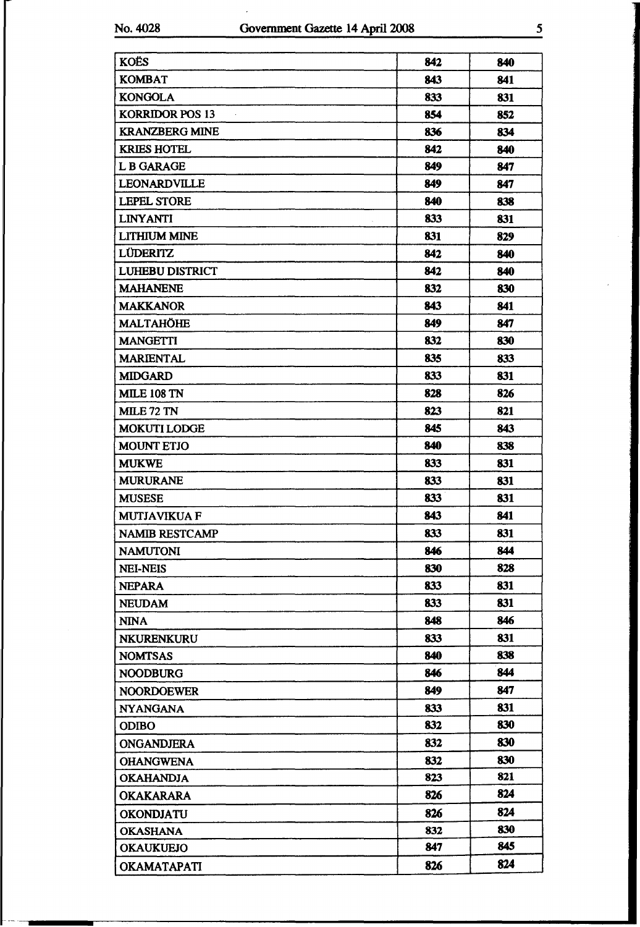$\ddot{\phantom{1}}$ 

 $\ddot{\phantom{0}}$ 

| <b>KOËS</b>            | 842 | 840 |
|------------------------|-----|-----|
| <b>KOMBAT</b>          | 843 | 841 |
| <b>KONGOLA</b>         | 833 | 831 |
| <b>KORRIDOR POS 13</b> | 854 | 852 |
| <b>KRANZBERG MINE</b>  | 836 | 834 |
| <b>KRIES HOTEL</b>     | 842 | 840 |
| L B GARAGE             | 849 | 847 |
| LEONARDVILLE           | 849 | 847 |
| <b>LEPEL STORE</b>     | 840 | 838 |
| <b>LINYANTI</b>        | 833 | 831 |
| <b>LITHIUM MINE</b>    | 831 | 829 |
| <b>LÜDERITZ</b>        | 842 | 840 |
| <b>LUHEBU DISTRICT</b> | 842 | 840 |
| <b>MAHANENE</b>        | 832 | 830 |
| <b>MAKKANOR</b>        | 843 | 841 |
| MALTAHÖHE              | 849 | 847 |
| <b>MANGETTI</b>        | 832 | 830 |
| <b>MARIENTAL</b>       | 835 | 833 |
| <b>MIDGARD</b>         | 833 | 831 |
| <b>MILE 108 TN</b>     | 828 | 826 |
| <b>MILE 72 TN</b>      | 823 | 821 |
| <b>MOKUTI LODGE</b>    | 845 | 843 |
| <b>MOUNT ETJO</b>      | 840 | 838 |
| <b>MUKWE</b>           | 833 | 831 |
| <b>MURURANE</b>        | 833 | 831 |
| <b>MUSESE</b>          | 833 | 831 |
| <b>MUTJAVIKUA F</b>    | 843 | 841 |
| <b>NAMIB RESTCAMP</b>  | 833 | 831 |
| <b>NAMUTONI</b>        | 846 | 844 |
| <b>NEI-NEIS</b>        | 830 | 828 |
| <b>NEPARA</b>          | 833 | 831 |
| <b>NEUDAM</b>          | 833 | 831 |
| <b>NINA</b>            | 848 | 846 |
| <b>NKURENKURU</b>      | 833 | 831 |
| <b>NOMTSAS</b>         | 840 | 838 |
| <b>NOODBURG</b>        | 846 | 844 |
| <b>NOORDOEWER</b>      | 849 | 847 |
| <b>NYANGANA</b>        | 833 | 831 |
| <b>ODIBO</b>           | 832 | 830 |
| <b>ONGANDJERA</b>      | 832 | 830 |
| <b>OHANGWENA</b>       | 832 | 830 |
| <b>OKAHANDJA</b>       | 823 | 821 |
| <b>OKAKARARA</b>       | 826 | 824 |
| OKONDJATU              | 826 | 824 |
| <b>OKASHANA</b>        | 832 | 830 |
| <b>OKAUKUEJO</b>       | 847 | 845 |
| <b>OKAMATAPATI</b>     | 826 | 824 |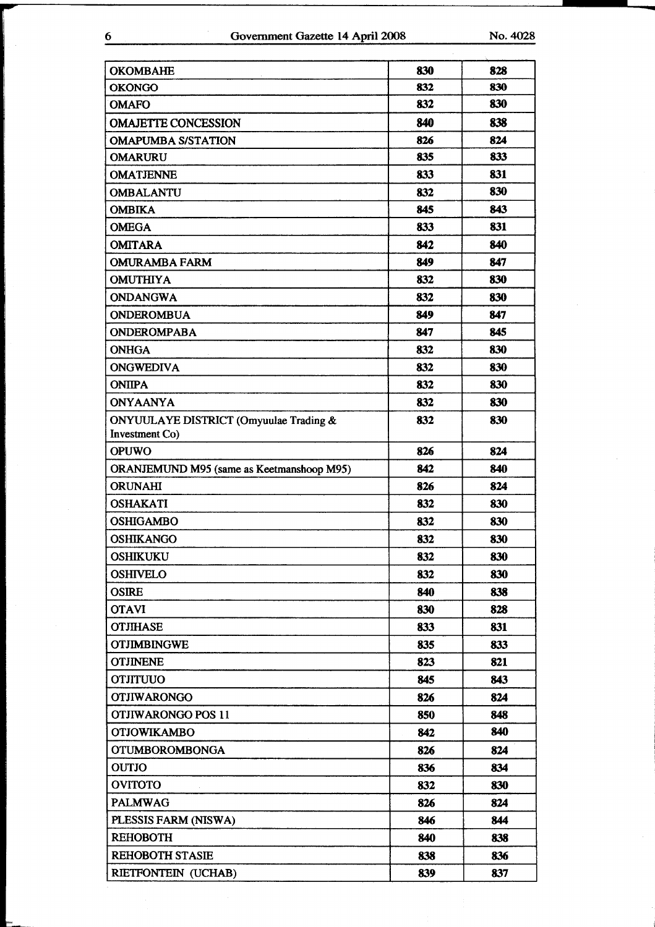## 6 Government Gazette 14 April 2008 No. 4028

| <b>OKOMBAHE</b>                           | 830 | 828 |
|-------------------------------------------|-----|-----|
| <b>OKONGO</b>                             | 832 | 830 |
| <b>OMAFO</b>                              | 832 | 830 |
| <b>OMAJETTE CONCESSION</b>                | 840 | 838 |
| <b>OMAPUMBA S/STATION</b>                 | 826 | 824 |
| <b>OMARURU</b>                            | 835 | 833 |
| <b>OMATJENNE</b>                          | 833 | 831 |
| <b>OMBALANTU</b>                          | 832 | 830 |
| <b>OMBIKA</b>                             | 845 | 843 |
| <b>OMEGA</b>                              | 833 | 831 |
| <b>OMITARA</b>                            | 842 | 840 |
| <b>OMURAMBA FARM</b>                      | 849 | 847 |
| <b>OMUTHIYA</b>                           | 832 | 830 |
| <b>ONDANGWA</b>                           | 832 | 830 |
| <b>ONDEROMBUA</b>                         | 849 | 847 |
| <b>ONDEROMPABA</b>                        | 847 | 845 |
| <b>ONHGA</b>                              | 832 | 830 |
| <b>ONGWEDIVA</b>                          | 832 | 830 |
| <b>ONIIPA</b>                             | 832 | 830 |
| <b>ONYAANYA</b>                           | 832 | 830 |
| ONYUULAYE DISTRICT (Omyuulae Trading &    | 832 | 830 |
| Investment Co)                            |     |     |
| <b>OPUWO</b>                              | 826 | 824 |
| ORANJEMUND M95 (same as Keetmanshoop M95) | 842 | 840 |
| <b>ORUNAHI</b>                            | 826 | 824 |
| <b>OSHAKATI</b>                           | 832 | 830 |
| <b>OSHIGAMBO</b>                          | 832 | 830 |
| <b>OSHIKANGO</b>                          | 832 | 830 |
| <b>OSHIKUKU</b>                           | 832 | 830 |
| <b>OSHIVELO</b>                           | 832 | 830 |
| <b>OSIRE</b>                              | 840 | 838 |
| <b>OTAVI</b>                              | 830 | 828 |
| <b>OTJIHASE</b>                           | 833 | 831 |
| <b>OTJIMBINGWE</b>                        | 835 | 833 |
| <b>OTJINENE</b>                           | 823 | 821 |
| <b>OTJITUUO</b>                           | 845 | 843 |
| <b>OTJIWARONGO</b>                        | 826 | 824 |
| <b>OTJIWARONGO POS 11</b>                 | 850 | 848 |
| <b>OTJOWIKAMBO</b>                        | 842 | 840 |
| <b>OTUMBOROMBONGA</b>                     | 826 | 824 |
| <b>OUTJO</b>                              | 836 | 834 |
| <b>OVITOTO</b>                            | 832 | 830 |
| <b>PALMWAG</b>                            | 826 | 824 |
| PLESSIS FARM (NISWA)                      | 846 | 844 |
| <b>REHOBOTH</b>                           | 840 | 838 |
| <b>REHOBOTH STASIE</b>                    | 838 | 836 |
| RIETFONTEIN (UCHAB)                       | 839 | 837 |
|                                           |     |     |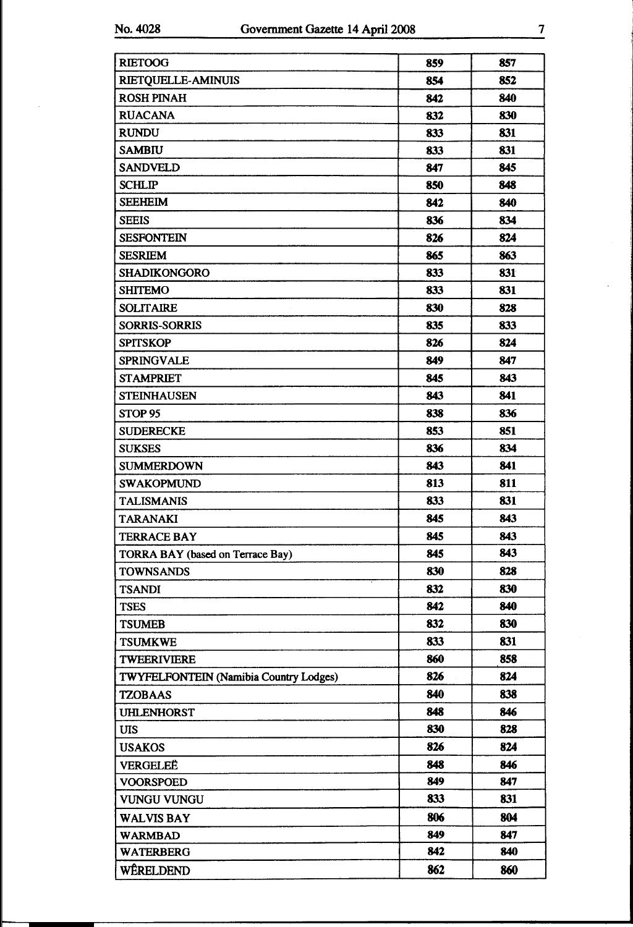| <b>RIETOOG</b>                                | 859 | 857 |
|-----------------------------------------------|-----|-----|
| <b>RIETQUELLE-AMINUIS</b>                     | 854 | 852 |
| <b>ROSH PINAH</b>                             | 842 | 840 |
| <b>RUACANA</b>                                | 832 | 830 |
| <b>RUNDU</b>                                  | 833 | 831 |
| <b>SAMBIU</b>                                 | 833 | 831 |
| <b>SANDVELD</b>                               | 847 | 845 |
| <b>SCHLIP</b>                                 | 850 | 848 |
| <b>SEEHEIM</b>                                | 842 | 840 |
| <b>SEEIS</b>                                  | 836 | 834 |
| <b>SESFONTEIN</b>                             | 826 | 824 |
| <b>SESRIEM</b>                                | 865 | 863 |
| <b>SHADIKONGORO</b>                           | 833 | 831 |
| <b>SHITEMO</b>                                | 833 | 831 |
| <b>SOLITAIRE</b>                              | 830 | 828 |
| <b>SORRIS-SORRIS</b>                          | 835 | 833 |
| <b>SPITSKOP</b>                               | 826 | 824 |
| <b>SPRINGVALE</b>                             | 849 | 847 |
| <b>STAMPRIET</b>                              | 845 | 843 |
| <b>STEINHAUSEN</b>                            | 843 | 841 |
| STOP <sub>95</sub>                            | 838 | 836 |
| <b>SUDERECKE</b>                              | 853 | 851 |
| <b>SUKSES</b>                                 | 836 | 834 |
| <b>SUMMERDOWN</b>                             | 843 | 841 |
| <b>SWAKOPMUND</b>                             | 813 | 811 |
| <b>TALISMANIS</b>                             | 833 | 831 |
| <b>TARANAKI</b>                               | 845 | 843 |
| <b>TERRACE BAY</b>                            | 845 | 843 |
| TORRA BAY (based on Terrace Bay)              | 845 | 843 |
| <b>TOWNSANDS</b>                              | 830 | 828 |
| <b>TSANDI</b>                                 | 832 | 830 |
| <b>TSES</b>                                   | 842 | 840 |
| <b>TSUMEB</b>                                 | 832 | 830 |
| <b>TSUMKWE</b>                                | 833 | 831 |
| <b>TWEERIVIERE</b>                            | 860 | 858 |
| <b>TWYFELFONTEIN (Namibia Country Lodges)</b> | 826 | 824 |
| <b>TZOBAAS</b>                                | 840 | 838 |
| <b>UHLENHORST</b>                             | 848 | 846 |
| UIS                                           | 830 | 828 |
| <b>USAKOS</b>                                 | 826 | 824 |
| VERGELEË                                      | 848 | 846 |
| <b>VOORSPOED</b>                              | 849 | 847 |
| <b>VUNGU VUNGU</b>                            | 833 | 831 |
| <b>WALVIS BAY</b>                             | 806 | 804 |
| <b>WARMBAD</b>                                | 849 | 847 |
| <b>WATERBERG</b>                              | 842 | 840 |
| WÊRELDEND                                     | 862 | 860 |

٦